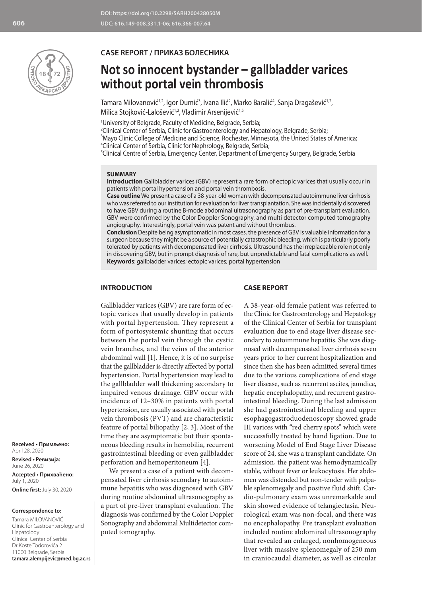

## **CASE REPORT / ПРИКАЗ БОЛЕСНИКА**

# **Not so innocent bystander – gallbladder varices without portal vein thrombosis**

Tamara Milovanović $^{1,2}$ , Igor Dumić $^{3}$ , Ivana Ilić $^{2}$ , Marko Baralić $^{4}$ , Sanja Dragašević $^{1,2}$ , Milica Stojković-Lalošević<sup>1,2</sup>, Vladimir Arsenijević<sup>1,5</sup>

1 University of Belgrade, Faculty of Medicine, Belgrade, Serbia;

2 Clinical Center of Serbia, Clinic for Gastroenterology and Hepatology, Belgrade, Serbia; <sup>3</sup>Mayo Clinic College of Medicine and Science, Rochester, Minnesota, the United States of America;

4 Clinical Center of Serbia, Clinic for Nephrology, Belgrade, Serbia;

5 Clinical Centre of Serbia, Emergency Center, Department of Emergency Surgery, Belgrade, Serbia

#### **SUMMARY**

**Introduction** Gallbladder varices (GBV) represent a rare form of ectopic varices that usually occur in patients with portal hypertension and portal vein thrombosis.

**Case outline** We present a case of a 38-year-old woman with decompensated autoimmune liver cirrhosis who was referred to our institution for evaluation for liver transplantation. She was incidentally discovered to have GBV during a routine B-mode abdominal ultrasonography as part of pre-transplant evaluation. GBV were confirmed by the Color Doppler Sonography, and multi detector computed tomography angiography. Interestingly, portal vein was patent and without thrombus.

**Conclusion** Despite being asymptomatic in most cases, the presence of GBV is valuable information for a surgeon because they might be a source of potentially catastrophic bleeding, which is particularly poorly tolerated by patients with decompensated liver cirrhosis. Ultrasound has the irreplaceable role not only in discovering GBV, but in prompt diagnosis of rare, but unpredictable and fatal complications as well. **Keywords**: gallbladder varices; ectopic varices; portal hypertension

## **INTRODUCTION**

## **CASE REPORT**

Gallbladder varices (GBV) are rare form of ectopic varices that usually develop in patients with portal hypertension. They represent a form of portosystemic shunting that occurs between the portal vein through the cystic vein branches, and the veins of the anterior abdominal wall [1]. Hence, it is of no surprise that the gallbladder is directly affected by portal hypertension. Portal hypertension may lead to the gallbladder wall thickening secondary to impaired venous drainage. GBV occur with incidence of 12–30% in patients with portal hypertension, are usually associated with portal vein thrombosis (PVT) and are characteristic feature of portal biliopathy [2, 3]. Most of the time they are asymptomatic but their spontaneous bleeding results in hemobilia, recurrent gastrointestinal bleeding or even gallbladder perforation and hemoperitoneum [4].

We present a case of a patient with decompensated liver cirrhosis secondary to autoimmune hepatitis who was diagnosed with GBV during routine abdominal ultrasonography as a part of pre-liver transplant evaluation. The diagnosis was confirmed by the Color Doppler Sonography and abdominal Multidetector computed tomography.

A 38-year-old female patient was referred to the Clinic for Gastroenterology and Hepatology of the Clinical Center of Serbia for transplant evaluation due to end stage liver disease secondary to autoimmune hepatitis. She was diagnosed with decompensated liver cirrhosis seven years prior to her current hospitalization and since then she has been admitted several times due to the various complications of end stage liver disease, such as recurrent ascites, jaundice, hepatic encephalopathy, and recurrent gastrointestinal bleeding. During the last admission she had gastrointestinal bleeding and upper esophagogastroduodenoscopy showed grade III varices with "red cherry spots" which were successfully treated by band ligation. Due to worsening Model of End Stage Liver Disease score of 24, she was a transplant candidate. On admission, the patient was hemodynamically stable, without fever or leukocytosis. Her abdomen was distended but non-tender with palpable splenomegaly and positive fluid shift. Cardio-pulmonary exam was unremarkable and skin showed evidence of telangiectasia. Neurological exam was non-focal, and there was no encephalopathy. Pre transplant evaluation included routine abdominal ultrasonography that revealed an enlarged, nonhomogeneous liver with massive splenomegaly of 250 mm in craniocaudal diameter, as well as circular

**Received • Примљено:**  April 28, 2020

**Revised • Ревизија:**  June 26, 2020 **Accepted • Прихваћено:** July 1, 2020 **Online first:** July 30, 2020

#### **Correspondence to:**

Tamara MILOVANOVIĆ Clinic for Gastroenterology and Hepatology Clinical Center of Serbia Dr Koste Todorovića 2 11000 Belgrade, Serbia **tamara.alempijevic@med.bg.ac.rs**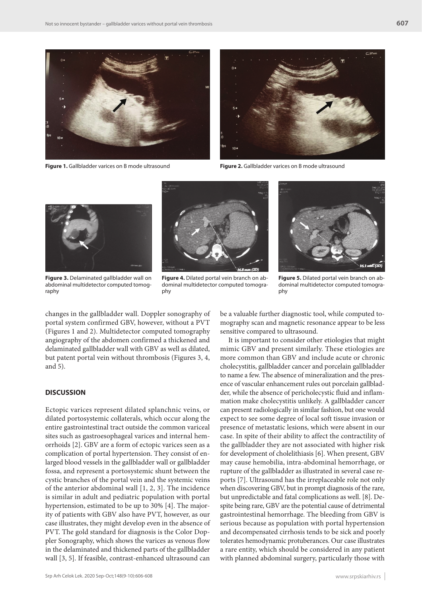

**Figure 1.** Gallbladder varices on B mode ultrasound **Figure 2.** Gallbladder varices on B mode ultrasound





**Figure 3.** Delaminated gallbladder wall on abdominal multidetector computed tomography



**Figure 4.** Dilated portal vein branch on abdominal multidetector computed tomography



**Figure 5.** Dilated portal vein branch on abdominal multidetector computed tomography

changes in the gallbladder wall. Doppler sonography of portal system confirmed GBV, however, without a PVT (Figures 1 and 2). Multidetector computed tomography angiography of the abdomen confirmed a thickened and delaminated gallbladder wall with GBV as well as dilated, but patent portal vein without thrombosis (Figures 3, 4, and 5).

## **DISCUSSION**

Ectopic varices represent dilated splanchnic veins, or dilated portosystemic collaterals, which occur along the entire gastrointestinal tract outside the common variceal sites such as gastroesophageal varices and internal hemorrhoids [2]. GBV are a form of ectopic varices seen as a complication of portal hypertension. They consist of enlarged blood vessels in the gallbladder wall or gallbladder fossa, and represent a portosystemic shunt between the cystic branches of the portal vein and the systemic veins of the anterior abdominal wall [1, 2, 3]. The incidence is similar in adult and pediatric population with portal hypertension, estimated to be up to 30% [4]. The majority of patients with GBV also have PVT, however, as our case illustrates, they might develop even in the absence of PVT. The gold standard for diagnosis is the Color Doppler Sonography, which shows the varices as venous flow in the delaminated and thickened parts of the gallbladder wall [3, 5]. If feasible, contrast-enhanced ultrasound can

be a valuable further diagnostic tool, while computed tomography scan and magnetic resonance appear to be less sensitive compared to ultrasound.

It is important to consider other etiologies that might mimic GBV and present similarly. These etiologies are more common than GBV and include acute or chronic cholecystitis, gallbladder cancer and porcelain gallbladder to name a few. The absence of mineralization and the presence of vascular enhancement rules out porcelain gallbladder, while the absence of pericholecystic fluid and inflammation make cholecystitis unlikely. A gallbladder cancer can present radiologically in similar fashion, but one would expect to see some degree of local soft tissue invasion or presence of metastatic lesions, which were absent in our case. In spite of their ability to affect the contractility of the gallbladder they are not associated with higher risk for development of cholelithiasis [6]. When present, GBV may cause hemobilia, intra-abdominal hemorrhage, or rupture of the gallbladder as illustrated in several case reports [7]. Ultrasound has the irreplaceable role not only when discovering GBV, but in prompt diagnosis of the rare, but unpredictable and fatal complications as well. [8]. Despite being rare, GBV are the potential cause of detrimental gastrointestinal hemorrhage. The bleeding from GBV is serious because as population with portal hypertension and decompensated cirrhosis tends to be sick and poorly tolerates hemodynamic protuberances. Our case illustrates a rare entity, which should be considered in any patient with planned abdominal surgery, particularly those with